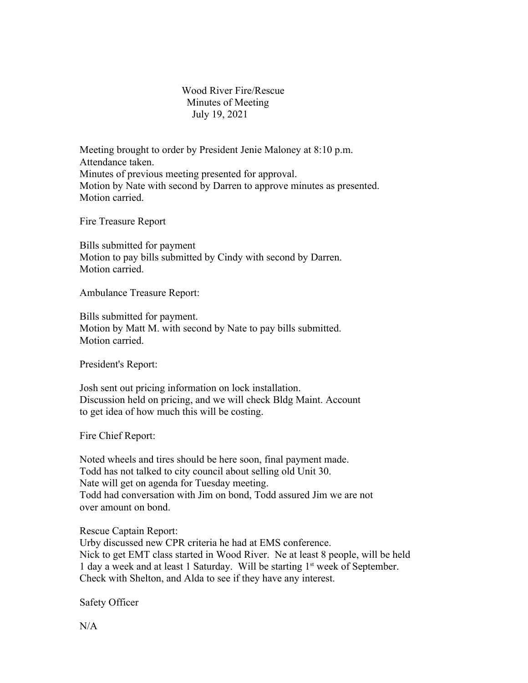## Wood River Fire/Rescue Minutes of Meeting July 19, 2021

Meeting brought to order by President Jenie Maloney at 8:10 p.m. Attendance taken. Minutes of previous meeting presented for approval. Motion by Nate with second by Darren to approve minutes as presented. Motion carried.

Fire Treasure Report

Bills submitted for payment Motion to pay bills submitted by Cindy with second by Darren. Motion carried.

Ambulance Treasure Report:

Bills submitted for payment. Motion by Matt M. with second by Nate to pay bills submitted. Motion carried.

President's Report:

Josh sent out pricing information on lock installation. Discussion held on pricing, and we will check Bldg Maint. Account to get idea of how much this will be costing.

Fire Chief Report:

Noted wheels and tires should be here soon, final payment made. Todd has not talked to city council about selling old Unit 30. Nate will get on agenda for Tuesday meeting. Todd had conversation with Jim on bond, Todd assured Jim we are not over amount on bond.

Rescue Captain Report:

Urby discussed new CPR criteria he had at EMS conference. Nick to get EMT class started in Wood River. Ne at least 8 people, will be held 1 day a week and at least 1 Saturday. Will be starting 1st week of September. Check with Shelton, and Alda to see if they have any interest.

Safety Officer

N/A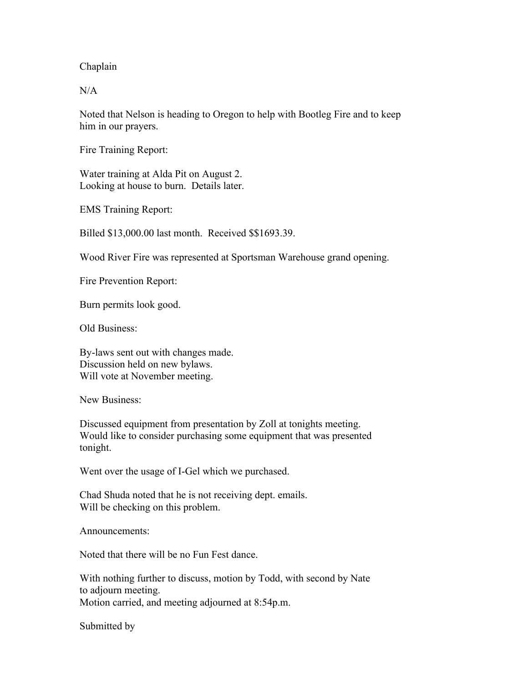Chaplain

N/A

Noted that Nelson is heading to Oregon to help with Bootleg Fire and to keep him in our prayers.

Fire Training Report:

Water training at Alda Pit on August 2. Looking at house to burn. Details later.

EMS Training Report:

Billed \$13,000.00 last month. Received \$\$1693.39.

Wood River Fire was represented at Sportsman Warehouse grand opening.

Fire Prevention Report:

Burn permits look good.

Old Business:

By-laws sent out with changes made. Discussion held on new bylaws. Will vote at November meeting.

New Business:

Discussed equipment from presentation by Zoll at tonights meeting. Would like to consider purchasing some equipment that was presented tonight.

Went over the usage of I-Gel which we purchased.

Chad Shuda noted that he is not receiving dept. emails. Will be checking on this problem.

Announcements:

Noted that there will be no Fun Fest dance.

With nothing further to discuss, motion by Todd, with second by Nate to adjourn meeting. Motion carried, and meeting adjourned at 8:54p.m.

Submitted by